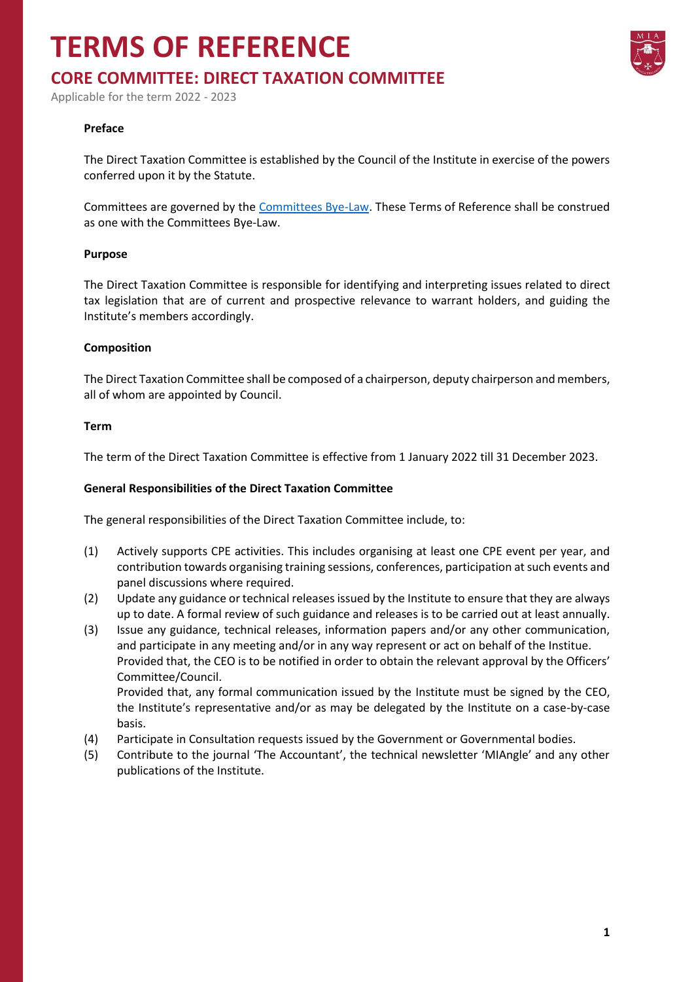# **TERMS OF REFERENCE**

# **CORE COMMITTEE: DIRECT TAXATION COMMITTEE**

Applicable for the term 2022 - 2023

## **Preface**

The Direct Taxation Committee is established by the Council of the Institute in exercise of the powers conferred upon it by the Statute.

Committees are governed by the [Committees Bye-Law.](https://www.miamalta.org/Statute-and-Bye-Laws) These Terms of Reference shall be construed as one with the Committees Bye-Law.

#### **Purpose**

The Direct Taxation Committee is responsible for identifying and interpreting issues related to direct tax legislation that are of current and prospective relevance to warrant holders, and guiding the Institute's members accordingly.

#### **Composition**

The Direct Taxation Committee shall be composed of a chairperson, deputy chairperson and members, all of whom are appointed by Council.

#### **Term**

The term of the Direct Taxation Committee is effective from 1 January 2022 till 31 December 2023.

### **General Responsibilities of the Direct Taxation Committee**

The general responsibilities of the Direct Taxation Committee include, to:

- (1) Actively supports CPE activities. This includes organising at least one CPE event per year, and contribution towards organising training sessions, conferences, participation at such events and panel discussions where required.
- (2) Update any guidance or technical releases issued by the Institute to ensure that they are always up to date. A formal review of such guidance and releases is to be carried out at least annually.
- (3) Issue any guidance, technical releases, information papers and/or any other communication, and participate in any meeting and/or in any way represent or act on behalf of the Institue. Provided that, the CEO is to be notified in order to obtain the relevant approval by the Officers' Committee/Council.

Provided that, any formal communication issued by the Institute must be signed by the CEO, the Institute's representative and/or as may be delegated by the Institute on a case-by-case basis.

- (4) Participate in Consultation requests issued by the Government or Governmental bodies.
- (5) Contribute to the journal 'The Accountant', the technical newsletter 'MIAngle' and any other publications of the Institute.